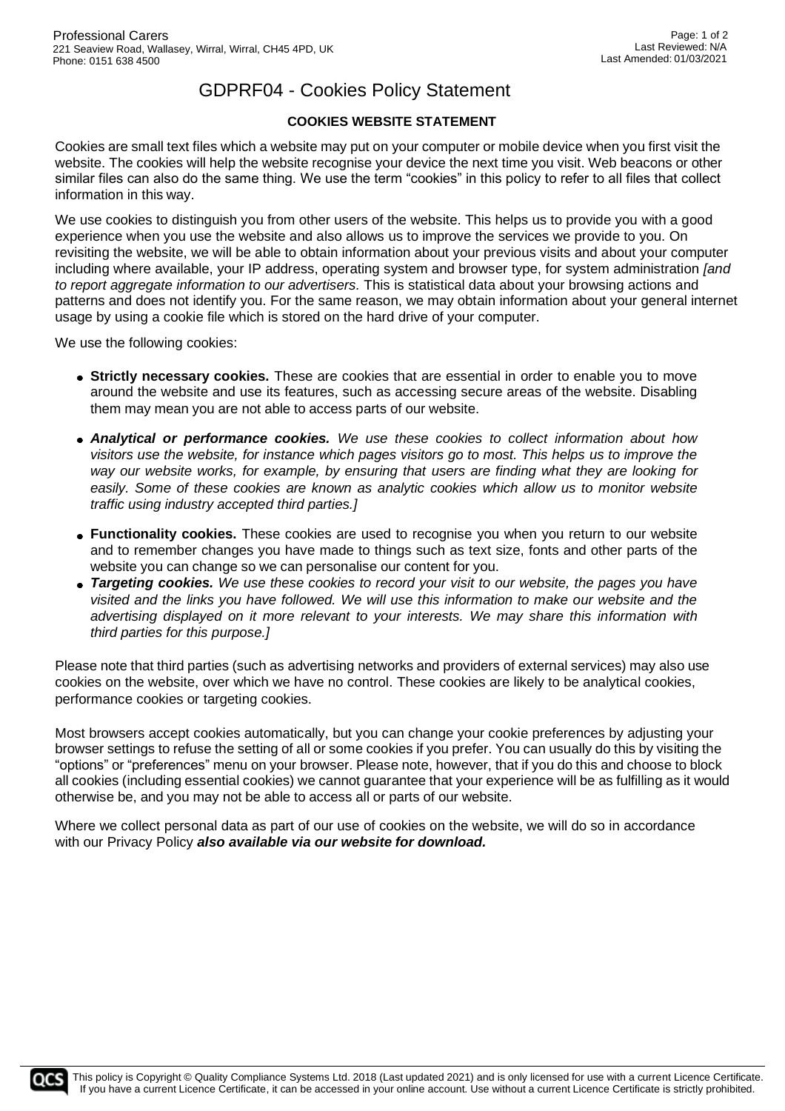## GDPRF04 - Cookies Policy Statement

## **COOKIES WEBSITE STATEMENT**

Cookies are small text files which a website may put on your computer or mobile device when you first visit the website. The cookies will help the website recognise your device the next time you visit. Web beacons or other similar files can also do the same thing. We use the term "cookies" in this policy to refer to all files that collect information in this way.

We use cookies to distinguish you from other users of the website. This helps us to provide you with a good experience when you use the website and also allows us to improve the services we provide to you. On revisiting the website, we will be able to obtain information about your previous visits and about your computer including where available, your IP address, operating system and browser type, for system administration *[and to report aggregate information to our advertisers.* This is statistical data about your browsing actions and patterns and does not identify you. For the same reason, we may obtain information about your general internet usage by using a cookie file which is stored on the hard drive of your computer.

We use the following cookies:

- **Strictly necessary cookies.** These are cookies that are essential in order to enable you to move around the website and use its features, such as accessing secure areas of the website. Disabling them may mean you are not able to access parts of our website.
- *Analytical or performance cookies. We use these cookies to collect information about how visitors use the website, for instance which pages visitors go to most. This helps us to improve the way our website works, for example, by ensuring that users are finding what they are looking for easily. Some of these cookies are known as analytic cookies which allow us to monitor website traffic using industry accepted third parties.]*
- **Functionality cookies.** These cookies are used to recognise you when you return to our website and to remember changes you have made to things such as text size, fonts and other parts of the website you can change so we can personalise our content for you.
- *Targeting cookies. We use these cookies to record your visit to our website, the pages you have visited and the links you have followed. We will use this information to make our website and the advertising displayed on it more relevant to your interests. We may share this information with third parties for this purpose.]*

Please note that third parties (such as advertising networks and providers of external services) may also use cookies on the website, over which we have no control. These cookies are likely to be analytical cookies, performance cookies or targeting cookies.

Most browsers accept cookies automatically, but you can change your cookie preferences by adjusting your browser settings to refuse the setting of all or some cookies if you prefer. You can usually do this by visiting the "options" or "preferences" menu on your browser. Please note, however, that if you do this and choose to block all cookies (including essential cookies) we cannot guarantee that your experience will be as fulfilling as it would otherwise be, and you may not be able to access all or parts of our website.

Where we collect personal data as part of our use of cookies on the website, we will do so in accordance with our Privacy Policy *also available via our website for download.*